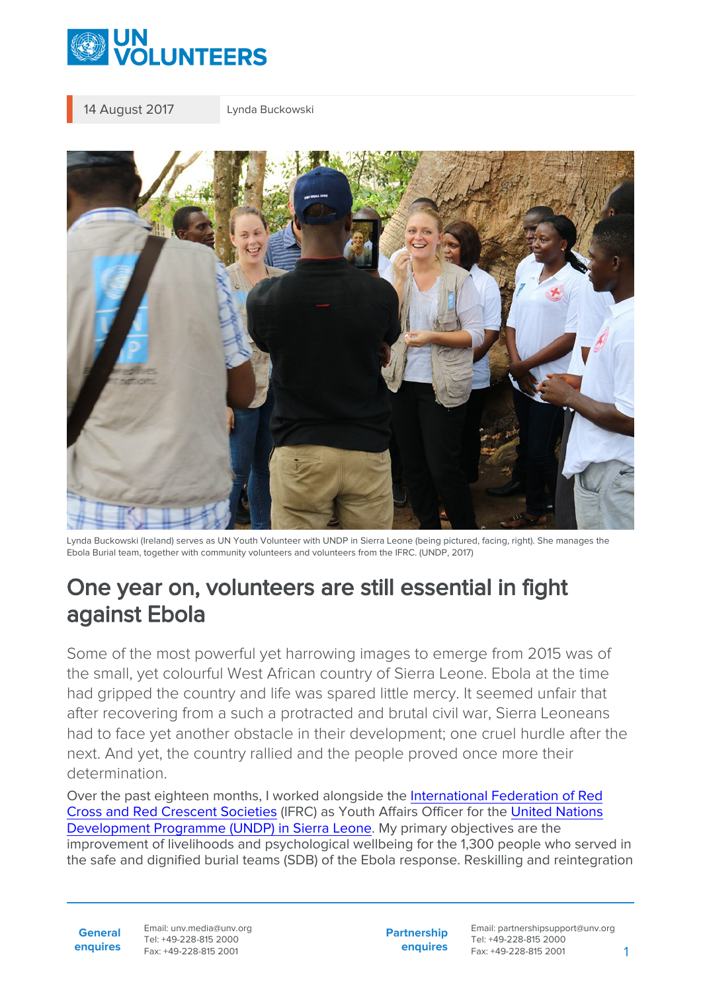

14 August 2017 Lynda Buckowski



Lynda Buckowski (Ireland) serves as UN Youth Volunteer with UNDP in Sierra Leone (being pictured, facing, right). She manages the Ebola Burial team, together with community volunteers and volunteers from the IFRC. (UNDP, 2017)

## One year on, volunteers are still essential in fight against Ebola

Some of the most powerful yet harrowing images to emerge from 2015 was of the small, yet colourful West African country of Sierra Leone. Ebola at the time had gripped the country and life was spared little mercy. It seemed unfair that after recovering from a such a protracted and brutal civil war, Sierra Leoneans had to face yet another obstacle in their development; one cruel hurdle after the next. And yet, the country rallied and the people proved once more their determination.

Over the past eighteen months, I worked alongside the [International Federation of Red](https://www.ifrc.org/en/what-we-do/where-we-work/africa/sierra-leone-red-cross-society/) [Cross and Red Crescent Societies](https://www.ifrc.org/en/what-we-do/where-we-work/africa/sierra-leone-red-cross-society/) (IFRC) as Youth Affairs Officer for the [United Nations](http://www.sl.undp.org/) [Development Programme \(UNDP\) in Sierra Leone.](http://www.sl.undp.org/) My primary objectives are the improvement of livelihoods and psychological wellbeing for the 1,300 people who served in the safe and dignified burial teams (SDB) of the Ebola response. Reskilling and reintegration

**General enquires** Email: unv.media@unv.org Tel: +49-228-815 2000 Fax: +49-228-815 2001

**Partnership enquires** Email: partnershipsupport@unv.org Tel: +49-228-815 2000 Fax: +49-228-815 2001 1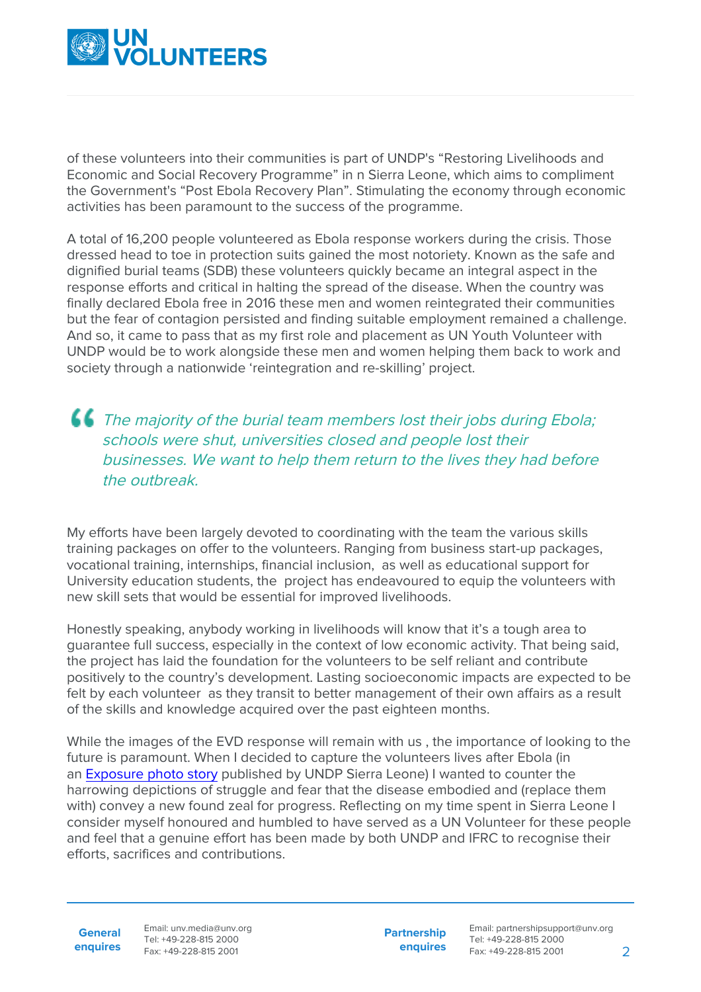

of these volunteers into their communities is part of UNDP's "Restoring Livelihoods and Economic and Social Recovery Programme" in n Sierra Leone, which aims to compliment the Government's "Post Ebola Recovery Plan". Stimulating the economy through economic activities has been paramount to the success of the programme.

A total of 16,200 people volunteered as Ebola response workers during the crisis. Those dressed head to toe in protection suits gained the most notoriety. Known as the safe and dignified burial teams (SDB) these volunteers quickly became an integral aspect in the response efforts and critical in halting the spread of the disease. When the country was finally declared Ebola free in 2016 these men and women reintegrated their communities but the fear of contagion persisted and finding suitable employment remained a challenge. And so, it came to pass that as my first role and placement as UN Youth Volunteer with UNDP would be to work alongside these men and women helping them back to work and society through a nationwide 'reintegration and re-skilling' project.

## **CC** The majority of the burial team members lost their jobs during Ebola; schools were shut, universities closed and people lost their businesses. We want to help them return to the lives they had before the *outbreak*

My efforts have been largely devoted to coordinating with the team the various skills training packages on offer to the volunteers. Ranging from business start-up packages, vocational training, internships, financial inclusion, as well as educational support for University education students, the project has endeavoured to equip the volunteers with new skill sets that would be essential for improved livelihoods.

Honestly speaking, anybody working in livelihoods will know that it's a tough area to guarantee full success, especially in the context of low economic activity. That being said, the project has laid the foundation for the volunteers to be self reliant and contribute positively to the country's development. Lasting socioeconomic impacts are expected to be felt by each volunteer as they transit to better management of their own affairs as a result of the skills and knowledge acquired over the past eighteen months.

While the images of the EVD response will remain with us , the importance of looking to the future is paramount. When I decided to capture the volunteers lives after Ebola (in an [Exposure photo story](https://unsierraleone.exposure.co/ebola-1-the-burial-teams) published by UNDP Sierra Leone) I wanted to counter the harrowing depictions of struggle and fear that the disease embodied and (replace them with) convey a new found zeal for progress. Reflecting on my time spent in Sierra Leone I consider myself honoured and humbled to have served as a UN Volunteer for these people and feel that a genuine effort has been made by both UNDP and IFRC to recognise their efforts, sacrifices and contributions.

**General enquires**

Email: unv.media@unv.org Tel: +49-228-815 2000 Fax: +49-228-815 2001

**Partnership enquires**

Email: partnershipsupport@unv.org Tel: +49-228-815 2000 Fax: +49-228-815 2001 2